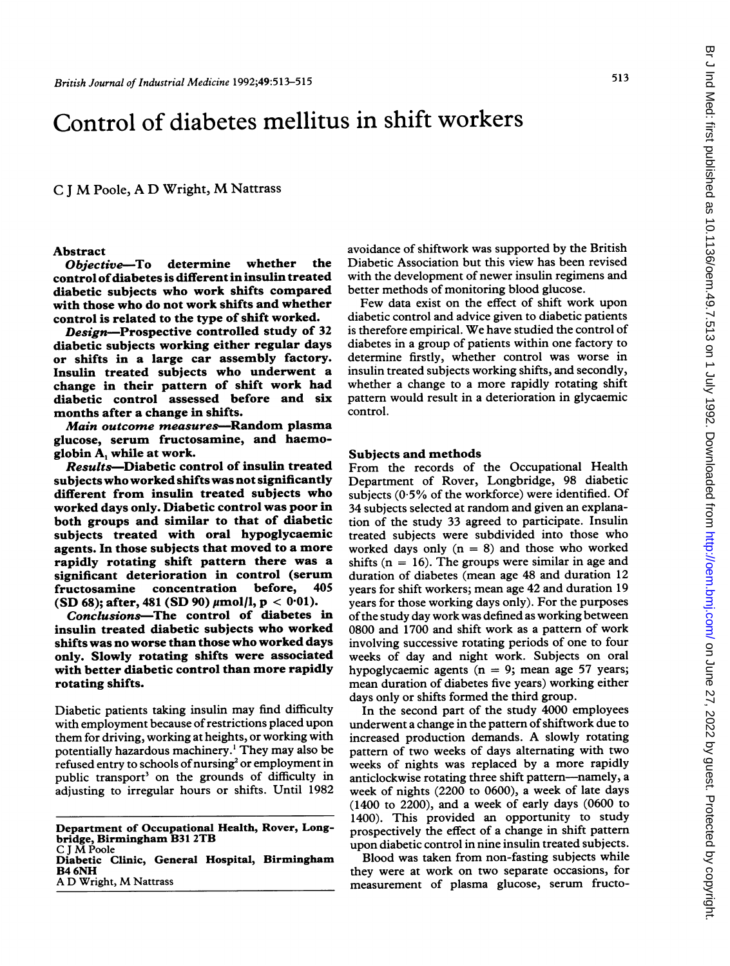# Control of diabetes mellitus in shift workers

<sup>C</sup> <sup>J</sup> M Poole, A D Wright, M Nattrass

#### Abstract

Objective-To determine whether the control ofdiabetes is different in insulin treated diabetic subjects who work shifts compared with those who do not work shifts and whether control is related to the type of shift worked.

Design-Prospective controlled study of 32 diabetic subjects working either regular days or shifts in a large car assembly factory. Insulin treated subjects who underwent a change in their pattern of shift work had diabetic control assessed before and six months after a change in shifts.

Main outcome measures-Random plasma glucose, serum fructosamine, and haemoglobin A, while at work.

Results-Diabetic control of insulin treated subjects whoworked shifts was not significantly different from insulin treated subjects who worked days only. Diabetic control was poor in both groups and similar to that of diabetic subjects treated with oral hypoglycaemic agents. In those subjects that moved to a more rapidly rotating shift pattern there was a significant deterioration in control (serum<br>fructosamine concentration before, 405 concentration before, (SD 68); after, 481 (SD 90)  $\mu$ mol/l, p < 0.01).

Conclusions-The control of diabetes in insulin treated diabetic subjects who worked shifts was no worse than those who worked days only. Slowly rotating shifts were associated with better diabetic control than more rapidly rotating shifts.

Diabetic patients taking insulin may find difficulty with employment because of restrictions placed upon them for driving, working at heights, or working with potentially hazardous machinery.' They may also be refused entry to schools of nursing<sup>2</sup> or employment in public transport<sup>3</sup> on the grounds of difficulty in adjusting to irregular hours or shifts. Until 1982

Department of Occupational Health, Rover, Longbridge, Birmingham B31 2TB <sup>C</sup> <sup>J</sup> M Poole Diabetic Clinic, General Hospital, Birmingham B4 6NH

A D Wright, M Nattrass

avoidance of shiftwork was supported by the British Diabetic Association but this view has been revised with the development of newer insulin regimens and better methods of monitoring blood glucose.

Few data exist on the effect of shift work upon diabetic control and advice given to diabetic patients is therefore empirical. We have studied the control of diabetes in a group of patients within one factory to determine firstly, whether control was worse in insulin treated subjects working shifts, and secondly, whether a change to a more rapidly rotating shift pattern would result in a deterioration in glycaemic control.

#### Subjects and methods

From the records of the Occupational Health Department of Rover, Longbridge, 98 diabetic subjects  $(0.5\%$  of the workforce) were identified. Of 34 subjects selected at random and given an explanation of the study 33 agreed to participate. Insulin treated subjects were subdivided into those who worked days only  $(n = 8)$  and those who worked shifts  $(n = 16)$ . The groups were similar in age and duration of diabetes (mean age 48 and duration 12 years for shift workers; mean age 42 and duration 19 years for those working days only). For the purposes ofthe study day work was defined as working between 0800 and 1700 and shift work as a pattern of work involving successive rotating periods of one to four weeks of day and night work. Subjects on oral hypoglycaemic agents ( $n = 9$ ; mean age 57 years; mean duration of diabetes five years) working either days only or shifts formed the third group.

In the second part of the study 4000 employees underwent a change in the pattern of shiftwork due to increased production demands. A slowly rotating pattern of two weeks of days alternating with two weeks of nights was replaced by a more rapidly anticlockwise rotating three shift pattern---namely, a week of nights (2200 to 0600), a week of late days (1400 to 2200), and a week of early days (0600 to 1400). This provided an opportunity to study prospectively the effect of a change in shift pattern upon diabetic control in nine insulin treated subjects.

Blood was taken from non-fasting subjects while they were at work on two separate occasions, for measurement of plasma glucose, serum fructo-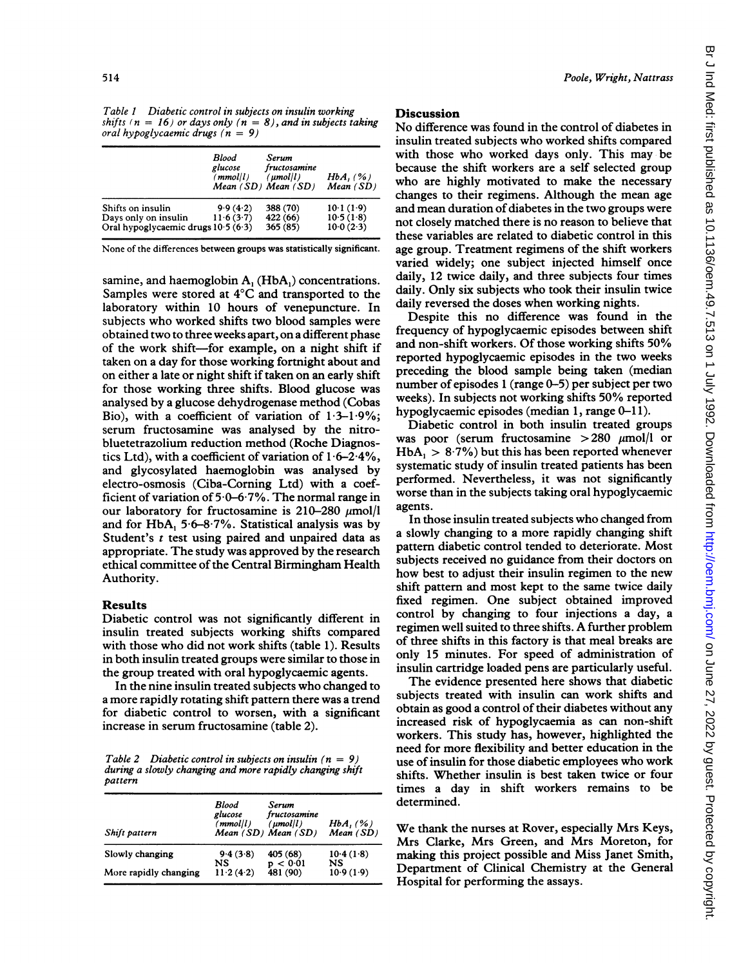Table <sup>1</sup> Diabetic control in subjects on insulin working shifts ( $n = 16$ ) or days only ( $n = 8$ ), and in subjects taking oral hypoglycaemic drugs  $(n = 9)$ 

|                                                                                  | Blood<br>glucose<br>(mmol/l) | Serum<br>fructosamine<br>$(\mu mol/l)$<br>Mean (SD) Mean (SD) | $HbA$ , $(%$ )<br>Mean(SD)        |
|----------------------------------------------------------------------------------|------------------------------|---------------------------------------------------------------|-----------------------------------|
| Shifts on insulin<br>Days only on insulin<br>Oral hypoglycaemic drugs 10.5 (6.3) | 9.9(4.2)<br>11.6(3.7)        | 388 (70)<br>422 (66)<br>365 (85)                              | 101(19)<br>10.5(1.8)<br>10.0(2.3) |

None of the differences between groups was statistically significant.

samine, and haemoglobin A, (HbA,) concentrations. Samples were stored at 4°C and transported to the laboratory within 10 hours of venepuncture. In subjects who worked shifts two blood samples were obtained two to three weeks apart, on a different phase of the work shift-for example, on a night shift if taken on a day for those working fortnight about and on either a late or night shift if taken on an early shift for those working three shifts. Blood glucose was analysed by a glucose dehydrogenase method (Cobas Bio), with a coefficient of variation of  $1.3-1.9\%$ ; serum fructosamine was analysed by the nitrobluetetrazolium reduction method (Roche Diagnostics Ltd), with a coefficient of variation of  $1.6-2.4\%$ , and glycosylated haemoglobin was analysed by electro-osmosis (Ciba-Coming Ltd) with a coefficient of variation of  $5.0 - 6.7\%$ . The normal range in our laboratory for fructosamine is 210-280  $\mu$ mol/l and for HbA,  $5.6-8.7\%$ . Statistical analysis was by Student's  $t$  test using paired and unpaired data as appropriate. The study was approved by the research ethical committee of the Central Birmingham Health Authority.

#### Results

Diabetic control was not significantly different in insulin treated subjects working shifts compared with those who did not work shifts (table 1). Results in both insulin treated groups were similar to those in the group treated with oral hypoglycaemic agents.

In the nine insulin treated subjects who changed to a more rapidly rotating shift pattern there was a trend for diabetic control to worsen, with a significant increase in serum fructosamine (table 2).

Table 2 Diabetic control in subjects on insulin  $(n = 9)$ during a slowly changing and more rapidly changing shift pattern

| Shift pattern         | Blood<br>glucose<br>(mmol/l) | Serum<br>fructosamine<br>$(\mu mol/l)$<br>Mean (SD) Mean (SD) | $HbA$ , $(%$ )<br>Mean(SD) |
|-----------------------|------------------------------|---------------------------------------------------------------|----------------------------|
| Slowly changing       | 9.4(3.8)<br>NS               | 405 (68)                                                      | 10.4(1.8)<br>NS            |
| More rapidly changing | 11.2(4.2)                    | p < 0.01<br>481 (90)                                          | 10.9(1.9)                  |

### **Discussion**

No difference was found in the control of diabetes in insulin treated subjects who worked shifts compared with those who worked days only. This may be because the shift workers are a self selected group who are highly motivated to make the necessary changes to their regimens. Although the mean age and mean duration of diabetes in the two groups were not closely matched there is no reason to believe that these variables are related to diabetic control in this age group. Treatment regimens of the shift workers varied widely; one subject injected himself once daily, 12 twice daily, and three subjects four times daily. Only six subjects who took their insulin twice daily reversed the doses when working nights.

Despite this no difference was found in the frequency of hypoglycaemic episodes between shift and non-shift workers. Of those working shifts 50% reported hypoglycaemic episodes in the two weeks preceding the blood sample being taken (median number of episodes <sup>1</sup> (range 0-5) per subject per two weeks). In subjects not working shifts 50% reported hypoglycaemic episodes (median 1, range 0-11).

Diabetic control in both insulin treated groups was poor (serum fructosamine  $>280$   $\mu$ mol/l or  $HbA_1 > 8.7\%$ ) but this has been reported whenever systematic study of insulin treated patients has been performed. Nevertheless, it was not significantly worse than in the subjects taking oral hypoglycaemic agents.

In those insulin treated subjects who changed from a slowly changing to a more rapidly changing shift pattern diabetic control tended to deteriorate. Most subjects received no guidance from their doctors on how best to adjust their insulin regimen to the new shift pattern and most kept to the same twice daily fixed regimen. One subject obtained improved control by changing to four injections a day, a regimen well suited to three shifts. A further problem of three shifts in this factory is that meal breaks are only 15 minutes. For speed of administration of insulin cartridge loaded pens are particularly useful.

The evidence presented here shows that diabetic subjects treated with insulin can work shifts and obtain as good a control of their diabetes without any increased risk of hypoglycaemia as can non-shift workers. This study has, however, highlighted the need for more flexibility and better education in the use of insulin for those diabetic employees who work shifts. Whether insulin is best taken twice or four times a day in shift workers remains to be determined.

We thank the nurses at Rover, especially Mrs Keys, Mrs Clarke, Mrs Green, and Mrs Moreton, for making this project possible and Miss Janet Smith, Department of Clinical Chemistry at the General Hospital for performing the assays.